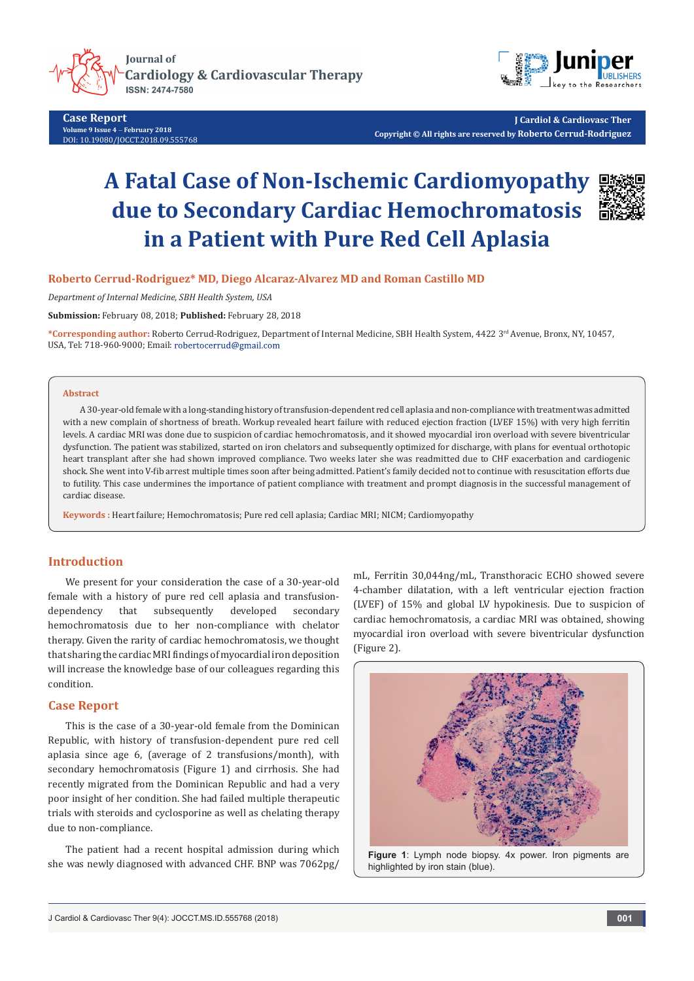



**Case Report Volume 9 Issue 4** - **February 2018** DOI: [10.19080/JOCCT.2018.09.555768](http://dx.doi.org/10.19080/JOCCT.2018.09.555768)

**J Cardiol & Cardiovasc Ther Copyright © All rights are reserved by Roberto Cerrud-Rodriguez**

# **A Fatal Case of Non-Ischemic Cardiomyopathy due to Secondary Cardiac Hemochromatosis in a Patient with Pure Red Cell Aplasia**



## **Roberto Cerrud-Rodriguez\* MD, Diego Alcaraz-Alvarez MD and Roman Castillo MD**

*Department of Internal Medicine, SBH Health System, USA*

**Submission:** February 08, 2018; **Published:** February 28, 2018

**\*Corresponding author:** Roberto Cerrud-Rodriguez, Department of Internal Medicine, SBH Health System, 4422 3rd Avenue, Bronx, NY, 10457, USA, Tel: 718-960-9000; Email: robertocerrud@gmail.com

#### **Abstract**

A 30-year-old female with a long-standing history of transfusion-dependent red cell aplasia and non-compliance with treatment was admitted with a new complain of shortness of breath. Workup revealed heart failure with reduced ejection fraction (LVEF 15%) with very high ferritin levels. A cardiac MRI was done due to suspicion of cardiac hemochromatosis, and it showed myocardial iron overload with severe biventricular dysfunction. The patient was stabilized, started on iron chelators and subsequently optimized for discharge, with plans for eventual orthotopic heart transplant after she had shown improved compliance. Two weeks later she was readmitted due to CHF exacerbation and cardiogenic shock. She went into V-fib arrest multiple times soon after being admitted. Patient's family decided not to continue with resuscitation efforts due to futility. This case undermines the importance of patient compliance with treatment and prompt diagnosis in the successful management of cardiac disease.

**Keywords :** Heart failure; Hemochromatosis; Pure red cell aplasia; Cardiac MRI; NICM; Cardiomyopathy

## **Introduction**

We present for your consideration the case of a 30-year-old female with a history of pure red cell aplasia and transfusiondependency that subsequently developed secondary hemochromatosis due to her non-compliance with chelator therapy. Given the rarity of cardiac hemochromatosis, we thought that sharing the cardiac MRI findings of myocardial iron deposition will increase the knowledge base of our colleagues regarding this condition.

## **Case Report**

This is the case of a 30-year-old female from the Dominican Republic, with history of transfusion-dependent pure red cell aplasia since age 6, (average of 2 transfusions/month), with secondary hemochromatosis (Figure 1) and cirrhosis. She had recently migrated from the Dominican Republic and had a very poor insight of her condition. She had failed multiple therapeutic trials with steroids and cyclosporine as well as chelating therapy due to non-compliance.

The patient had a recent hospital admission during which she was newly diagnosed with advanced CHF. BNP was 7062pg/

mL, Ferritin 30,044ng/mL, Transthoracic ECHO showed severe 4-chamber dilatation, with a left ventricular ejection fraction (LVEF) of 15% and global LV hypokinesis. Due to suspicion of cardiac hemochromatosis, a cardiac MRI was obtained, showing myocardial iron overload with severe biventricular dysfunction (Figure 2).



**Figure 1**: Lymph node biopsy. 4x power. Iron pigments are highlighted by iron stain (blue).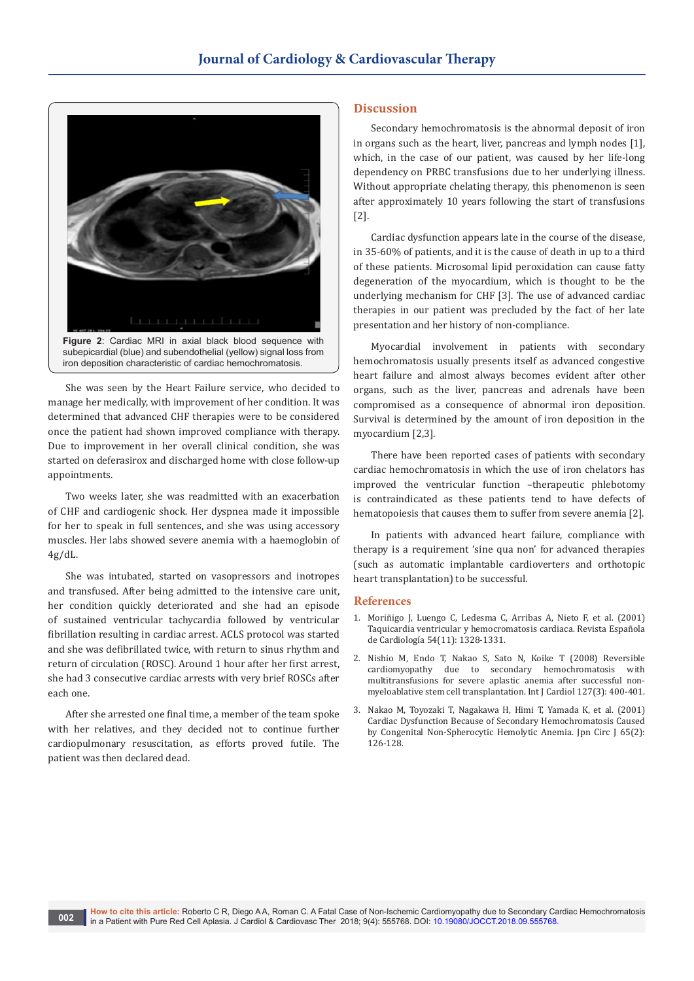

She was seen by the Heart Failure service, who decided to manage her medically, with improvement of her condition. It was determined that advanced CHF therapies were to be considered once the patient had shown improved compliance with therapy. Due to improvement in her overall clinical condition, she was started on deferasirox and discharged home with close follow-up appointments.

Two weeks later, she was readmitted with an exacerbation of CHF and cardiogenic shock. Her dyspnea made it impossible for her to speak in full sentences, and she was using accessory muscles. Her labs showed severe anemia with a haemoglobin of  $4g/dL$ .

She was intubated, started on vasopressors and inotropes and transfused. After being admitted to the intensive care unit, her condition quickly deteriorated and she had an episode of sustained ventricular tachycardia followed by ventricular fibrillation resulting in cardiac arrest. ACLS protocol was started and she was defibrillated twice, with return to sinus rhythm and return of circulation (ROSC). Around 1 hour after her first arrest, she had 3 consecutive cardiac arrests with very brief ROSCs after each one.

After she arrested one final time, a member of the team spoke with her relatives, and they decided not to continue further cardiopulmonary resuscitation, as efforts proved futile. The patient was then declared dead.

## **Discussion**

Secondary hemochromatosis is the abnormal deposit of iron in organs such as the heart, liver, pancreas and lymph nodes [1], which, in the case of our patient, was caused by her life-long dependency on PRBC transfusions due to her underlying illness. Without appropriate chelating therapy, this phenomenon is seen after approximately 10 years following the start of transfusions [2].

Cardiac dysfunction appears late in the course of the disease, in 35-60% of patients, and it is the cause of death in up to a third of these patients. Microsomal lipid peroxidation can cause fatty degeneration of the myocardium, which is thought to be the underlying mechanism for CHF [3]. The use of advanced cardiac therapies in our patient was precluded by the fact of her late presentation and her history of non-compliance.

Myocardial involvement in patients with secondary hemochromatosis usually presents itself as advanced congestive heart failure and almost always becomes evident after other organs, such as the liver, pancreas and adrenals have been compromised as a consequence of abnormal iron deposition. Survival is determined by the amount of iron deposition in the myocardium [2,3].

There have been reported cases of patients with secondary cardiac hemochromatosis in which the use of iron chelators has improved the ventricular function –therapeutic phlebotomy is contraindicated as these patients tend to have defects of hematopoiesis that causes them to suffer from severe anemia [2].

In patients with advanced heart failure, compliance with therapy is a requirement 'sine qua non' for advanced therapies (such as automatic implantable cardioverters and orthotopic heart transplantation) to be successful.

### **References**

- 1. [Moriñigo J, Luengo C, Ledesma C, Arribas A, Nieto F, et al. \(2001\)](https://www.sciencedirect.com/science/article/pii/S0300893201765049)  [Taquicardia ventricular y hemocromatosis cardiaca. Revista Española](https://www.sciencedirect.com/science/article/pii/S0300893201765049)  [de Cardiología 54\(11\): 1328-1331.](https://www.sciencedirect.com/science/article/pii/S0300893201765049)
- 2. [Nishio M, Endo T, Nakao S, Sato N, Koike T \(2008\) Reversible](https://www.ncbi.nlm.nih.gov/pubmed/17582528)  [cardiomyopathy due to secondary hemochromatosis with](https://www.ncbi.nlm.nih.gov/pubmed/17582528)  [multitransfusions for severe aplastic anemia after successful non](https://www.ncbi.nlm.nih.gov/pubmed/17582528)[myeloablative stem cell transplantation. Int J Cardiol 127\(3\): 400-401.](https://www.ncbi.nlm.nih.gov/pubmed/17582528)
- 3. [Nakao M, Toyozaki T, Nagakawa H, Himi T, Yamada K, et al. \(2001\)](https://www.ncbi.nlm.nih.gov/pubmed/11216822)  [Cardiac Dysfunction Because of Secondary Hemochromatosis Caused](https://www.ncbi.nlm.nih.gov/pubmed/11216822)  [by Congenital Non-Spherocytic Hemolytic Anemia. Jpn Circ J 65\(2\):](https://www.ncbi.nlm.nih.gov/pubmed/11216822)  [126-128.](https://www.ncbi.nlm.nih.gov/pubmed/11216822)